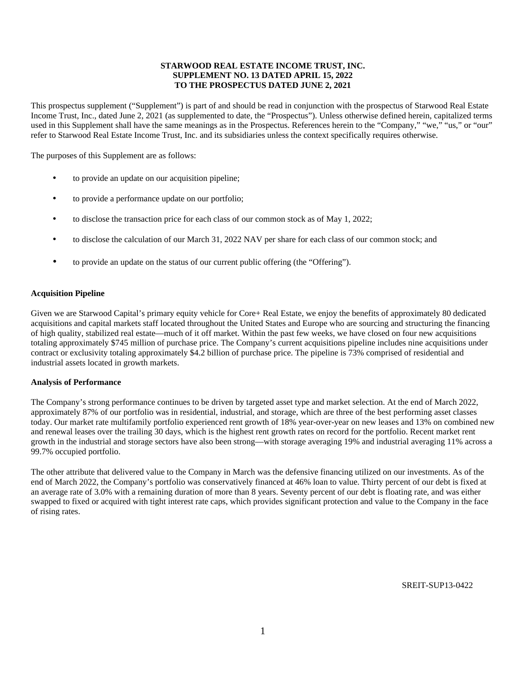# **STARWOOD REAL ESTATE INCOME TRUST, INC. SUPPLEMENT NO. 13 DATED APRIL 15, 2022 TO THE PROSPECTUS DATED JUNE 2, 2021**

This prospectus supplement ("Supplement") is part of and should be read in conjunction with the prospectus of Starwood Real Estate Income Trust, Inc., dated June 2, 2021 (as supplemented to date, the "Prospectus"). Unless otherwise defined herein, capitalized terms used in this Supplement shall have the same meanings as in the Prospectus. References herein to the "Company," "we," "us," or "our" refer to Starwood Real Estate Income Trust, Inc. and its subsidiaries unless the context specifically requires otherwise.

The purposes of this Supplement are as follows:

- to provide an update on our acquisition pipeline;
- to provide a performance update on our portfolio;
- to disclose the transaction price for each class of our common stock as of May 1, 2022;
- to disclose the calculation of our March 31, 2022 NAV per share for each class of our common stock; and
- to provide an update on the status of our current public offering (the "Offering").

#### **Acquisition Pipeline**

Given we are Starwood Capital's primary equity vehicle for Core+ Real Estate, we enjoy the benefits of approximately 80 dedicated acquisitions and capital markets staff located throughout the United States and Europe who are sourcing and structuring the financing of high quality, stabilized real estate—much of it off market. Within the past few weeks, we have closed on four new acquisitions totaling approximately \$745 million of purchase price. The Company's current acquisitions pipeline includes nine acquisitions under contract or exclusivity totaling approximately \$4.2 billion of purchase price. The pipeline is 73% comprised of residential and industrial assets located in growth markets.

#### **Analysis of Performance**

The Company's strong performance continues to be driven by targeted asset type and market selection. At the end of March 2022, approximately 87% of our portfolio was in residential, industrial, and storage, which are three of the best performing asset classes today. Our market rate multifamily portfolio experienced rent growth of 18% year-over-year on new leases and 13% on combined new and renewal leases over the trailing 30 days, which is the highest rent growth rates on record for the portfolio. Recent market rent growth in the industrial and storage sectors have also been strong—with storage averaging 19% and industrial averaging 11% across a 99.7% occupied portfolio.

The other attribute that delivered value to the Company in March was the defensive financing utilized on our investments. As of the end of March 2022, the Company's portfolio was conservatively financed at 46% loan to value. Thirty percent of our debt is fixed at an average rate of 3.0% with a remaining duration of more than 8 years. Seventy percent of our debt is floating rate, and was either swapped to fixed or acquired with tight interest rate caps, which provides significant protection and value to the Company in the face of rising rates.

SREIT-SUP13-0422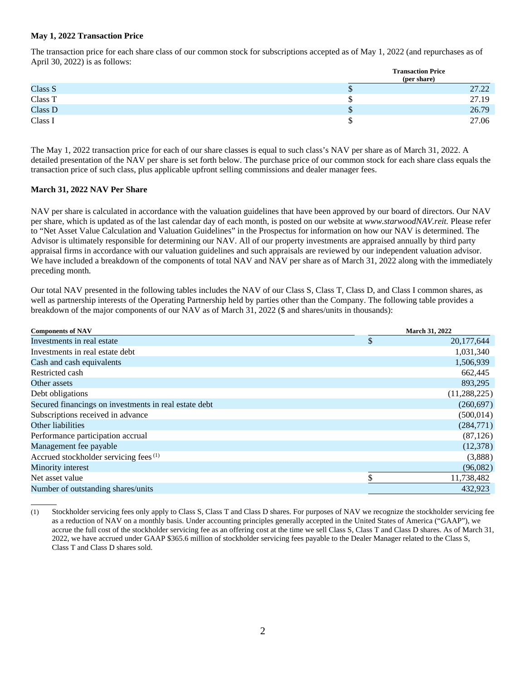## **May 1, 2022 Transaction Price**

The transaction price for each share class of our common stock for subscriptions accepted as of May 1, 2022 (and repurchases as of April 30, 2022) is as follows:

|         |   | <b>Transaction Price</b> |  |  |  |
|---------|---|--------------------------|--|--|--|
|         |   | (per share)              |  |  |  |
| Class S | Φ | 27.22                    |  |  |  |
| Class T |   | 27.19                    |  |  |  |
| Class D | Φ | 26.79                    |  |  |  |
| Class I |   | 27.06                    |  |  |  |

The May 1, 2022 transaction price for each of our share classes is equal to such class's NAV per share as of March 31, 2022. A detailed presentation of the NAV per share is set forth below. The purchase price of our common stock for each share class equals the transaction price of such class, plus applicable upfront selling commissions and dealer manager fees.

### **March 31, 2022 NAV Per Share**

 $\overline{a}$ 

NAV per share is calculated in accordance with the valuation guidelines that have been approved by our board of directors. Our NAV per share, which is updated as of the last calendar day of each month, is posted on our website at *www.starwoodNAV.reit.* Please refer to "Net Asset Value Calculation and Valuation Guidelines" in the Prospectus for information on how our NAV is determined. The Advisor is ultimately responsible for determining our NAV. All of our property investments are appraised annually by third party appraisal firms in accordance with our valuation guidelines and such appraisals are reviewed by our independent valuation advisor. We have included a breakdown of the components of total NAV and NAV per share as of March 31, 2022 along with the immediately preceding month.

Our total NAV presented in the following tables includes the NAV of our Class S, Class T, Class D, and Class I common shares, as well as partnership interests of the Operating Partnership held by parties other than the Company. The following table provides a breakdown of the major components of our NAV as of March 31, 2022 (\$ and shares/units in thousands):

| <b>Components of NAV</b>                              | <b>March 31, 2022</b> |
|-------------------------------------------------------|-----------------------|
| Investments in real estate                            | \$<br>20, 177, 644    |
| Investments in real estate debt                       | 1,031,340             |
| Cash and cash equivalents                             | 1,506,939             |
| Restricted cash                                       | 662,445               |
| Other assets                                          | 893,295               |
| Debt obligations                                      | (11, 288, 225)        |
| Secured financings on investments in real estate debt | (260,697)             |
| Subscriptions received in advance                     | (500, 014)            |
| Other liabilities                                     | (284,771)             |
| Performance participation accrual                     | (87, 126)             |
| Management fee payable                                | (12,378)              |
| Accrued stockholder servicing fees <sup>(1)</sup>     | (3,888)               |
| Minority interest                                     | (96,082)              |
| Net asset value                                       | 11,738,482            |
| Number of outstanding shares/units                    | 432.923               |

<sup>(1)</sup> Stockholder servicing fees only apply to Class S, Class T and Class D shares. For purposes of NAV we recognize the stockholder servicing fee as a reduction of NAV on a monthly basis. Under accounting principles generally accepted in the United States of America ("GAAP"), we accrue the full cost of the stockholder servicing fee as an offering cost at the time we sell Class S, Class T and Class D shares. As of March 31, 2022, we have accrued under GAAP \$365.6 million of stockholder servicing fees payable to the Dealer Manager related to the Class S, Class T and Class D shares sold.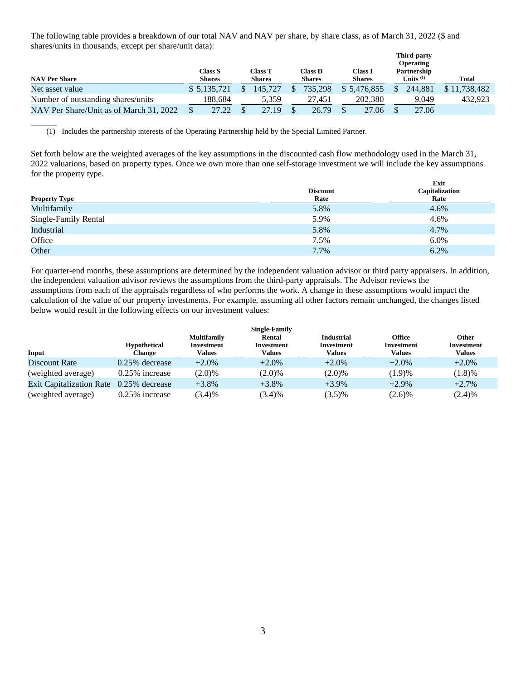The following table provides a breakdown of our total NAV and NAV per share, by share class, as of March 31, 2022 (\$ and shares/units in thousands, except per share/unit data):

|                                         |  |                                 |  |                                 |  |                                 |  | <b>Third-party</b><br><b>Operating</b> |                            |              |
|-----------------------------------------|--|---------------------------------|--|---------------------------------|--|---------------------------------|--|----------------------------------------|----------------------------|--------------|
| <b>NAV Per Share</b>                    |  | <b>Class S</b><br><b>Shares</b> |  | <b>Class T</b><br><b>Shares</b> |  | Class <b>D</b><br><b>Shares</b> |  | Class I<br><b>Shares</b>               | Partnership<br>Units $(1)$ | Total        |
| Net asset value                         |  | \$5.135.721                     |  | 145.727                         |  | 735.298                         |  | \$ 5.476.855                           | 244,881                    | \$11,738,482 |
| Number of outstanding shares/units      |  | 188.684                         |  | 5.359                           |  | 27.451                          |  | 202,380                                | 9,049                      | 432.923      |
| NAV Per Share/Unit as of March 31, 2022 |  | 27.22                           |  | 27.19                           |  | 26.79                           |  | 27.06                                  | 27.06                      |              |

(1) Includes the partnership interests of the Operating Partnership held by the Special Limited Partner.

 $\overline{a}$ 

Set forth below are the weighted averages of the key assumptions in the discounted cash flow methodology used in the March 31, 2022 valuations, based on property types. Once we own more than one self-storage investment we will include the key assumptions for the property type. **Exit**

|                      | <b>Discount</b> | EXIU<br>Capitalization |
|----------------------|-----------------|------------------------|
| <b>Property Type</b> | Rate            | Rate                   |
| Multifamily          | 5.8%            | 4.6%                   |
| Single-Family Rental | 5.9%            | 4.6%                   |
| Industrial           | 5.8%            | 4.7%                   |
| Office               | 7.5%            | 6.0%                   |
| Other                | 7.7%            | 6.2%                   |

For quarter-end months, these assumptions are determined by the independent valuation advisor or third party appraisers. In addition, the independent valuation advisor reviews the assumptions from the third-party appraisals. The Advisor reviews the assumptions from each of the appraisals regardless of who performs the work. A change in these assumptions would impact the calculation of the value of our property investments. For example, assuming all other factors remain unchanged, the changes listed below would result in the following effects on our investment values:

| <b>Single-Family</b>            |                     |                                  |                      |                                 |                             |                     |  |  |  |  |
|---------------------------------|---------------------|----------------------------------|----------------------|---------------------------------|-----------------------------|---------------------|--|--|--|--|
|                                 | <b>Hypothetical</b> | <b>Multifamily</b><br>Investment | Rental<br>Investment | <b>Industrial</b><br>Investment | <b>Office</b><br>Investment | Other<br>Investment |  |  |  |  |
| Input                           | <b>Change</b>       | Values                           | Values               | Values                          | Values                      | <b>Values</b>       |  |  |  |  |
| Discount Rate                   | $0.25\%$ decrease   | $+2.0%$                          | $+2.0\%$             | $+2.0\%$                        | $+2.0%$                     | $+2.0\%$            |  |  |  |  |
| (weighted average)              | $0.25\%$ increase   | $(2.0)\%$                        | $(2.0)\%$            | $(2.0)\%$                       | (1.9)%                      | (1.8)%              |  |  |  |  |
| <b>Exit Capitalization Rate</b> | $0.25\%$ decrease   | $+3.8\%$                         | $+3.8\%$             | $+3.9\%$                        | $+2.9%$                     | $+2.7%$             |  |  |  |  |
| (weighted average)              | $0.25\%$ increase   | (3.4)%                           | (3.4)%               | $(3.5)\%$                       | $(2.6)\%$                   | (2.4)%              |  |  |  |  |